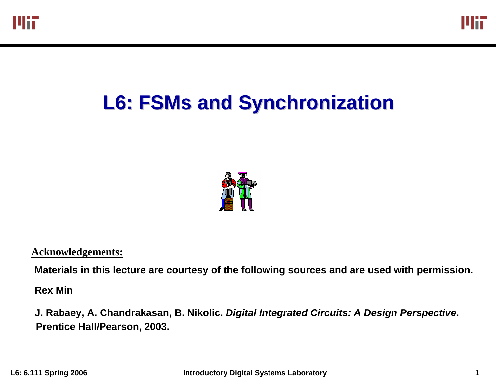

# **L6: FSMs and Synchronization and Synchronization**



**Acknowledgements:** 

Materials in this lecture are courtesy of the following sources and are used with permission.

**Rex Min**

**J. Rabaey, A. Chandrakasan, B. Nikolic.** *Digital Integrated Circuits: A Design Perspective***. Prentice Hall/Pearson, 2003.**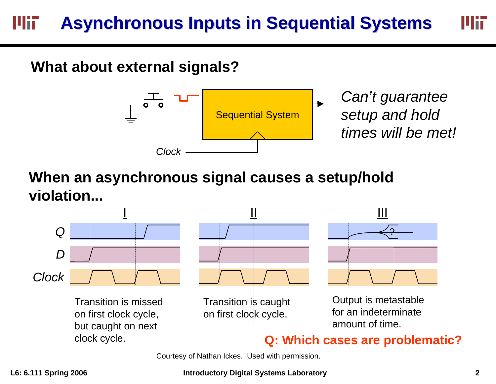#### **Asynchronous Inputs in Sequential Systems Asynchronous Inputs in Sequential Systems** Wif

### **What about external signals?**



*Can't guarantee setup and hold times will be met!*

### **When an asynchronous signal causes a setup/hold violation...**



Courtesy of Nathan Ickes. Used with permission.

#### **L6: 6.111 Spring 2006 Introductory Digital Systems Laboratory 2**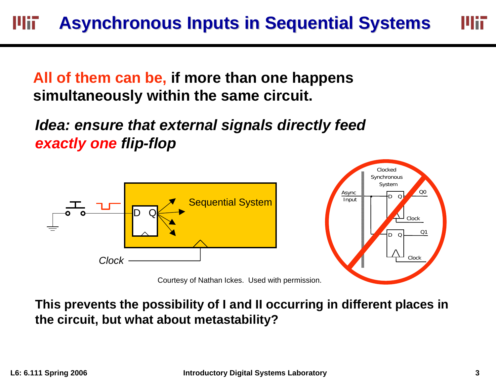**All of them can be, if more than one happens simultaneously within the same circuit.**

*Idea: ensure that external signals directly feed exactly one flip-flop*





# **This prevents the possibility of I and II occurring in different places in**

**the circuit, but what about metastability?**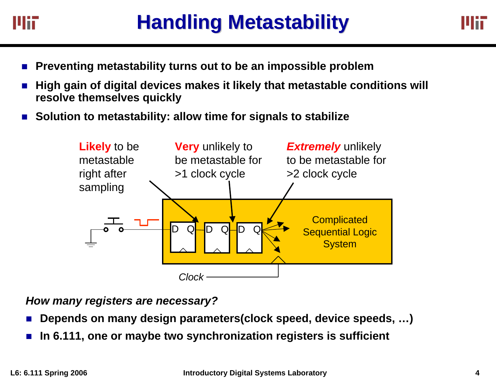

- П **Preventing metastability turns out to be an impossible problem**
- $\mathbf{r}$  **High gain of digital devices makes it likely that metastable conditions will resolve themselves quickly**
- $\mathcal{L}_{\mathcal{A}}$ **Solution to metastability: allow time for signals to stabilize**



*How many registers are necessary?*

- × **Depends on many design parameters(clock speed, device speeds, …)**
- a. **In 6.111, one or maybe two synchronization registers is sufficient**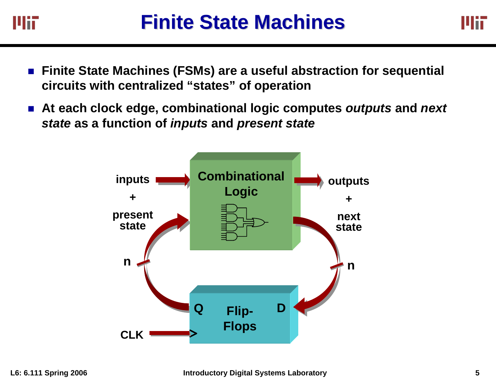

- $\mathcal{L}_{\mathcal{A}}$  **Finite State Machines (FSMs) are a useful abstraction for sequential circuits with centralized "states" of operation**
- **At each clock edge, combinational logic computes** *outputs* **and** *next state* **as a function of** *inputs* **and** *present state*

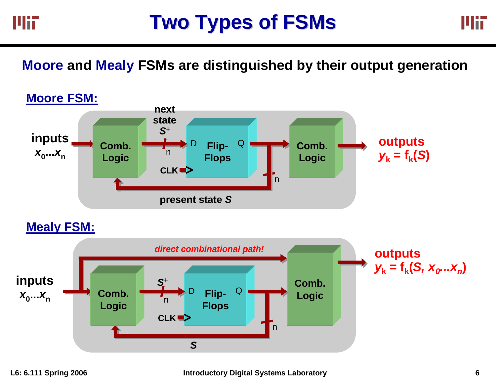



**Moore and Mealy FSMs are distinguished by their output generation**



### **Mealy FSM:**

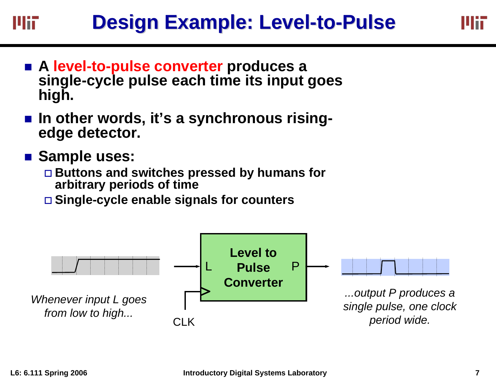### **Design Example: Level-to-Pulse** шт

- **A level-to-pulse converter produces a single-cycle pulse each time its input goes high.**
- In other words, it's a synchronous rising**edge detector.**
- **Sample uses:** 
	- **Buttons and switches pressed by humans for arbitrary periods of time**
	- **Single-cycle enable signals for counters**

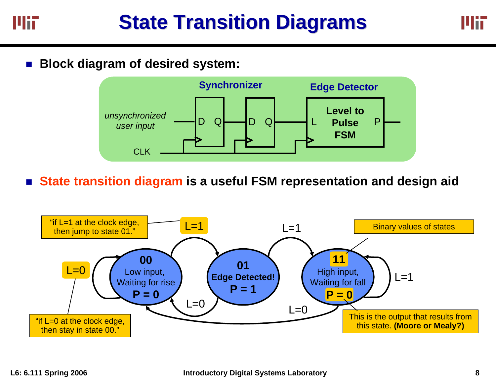

T. **Block diagram of desired system:**



**State transition diagram is a useful FSM representation and design aid**

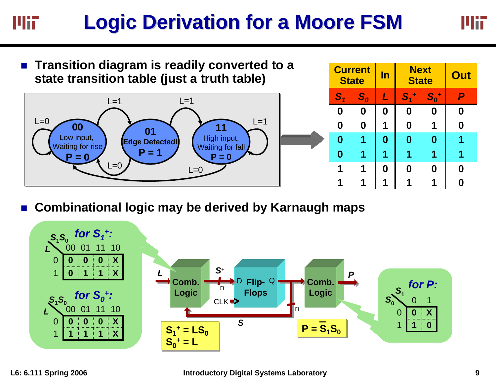### **Logic Derivation for a Moore FSM Logic Derivation for a Moore FSM** MiT



 $\mathcal{L}_{\mathcal{A}}$ **Combinational logic may be derived by Karnaugh maps**



MĦ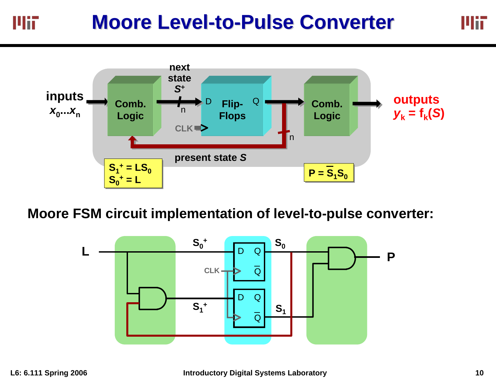#### **Moore Level-to-Pulse Converter** MiT



### **Moore FSM circuit implementation of level-to-pulse converter:**



Mit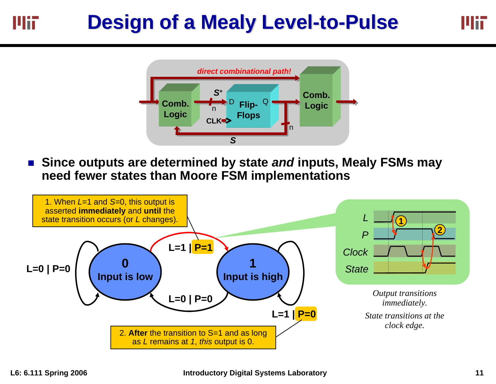#### **Design of a Mealy Level-to-Pulse** Mii





r. **Since outputs are determined by state** *and* **inputs, Mealy FSMs may need fewer states than Moore FSM implementations**

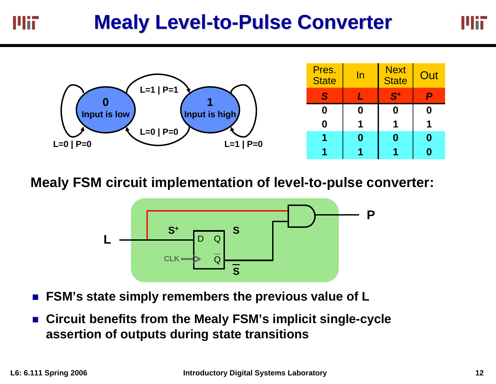



**Mealy FSM circuit implementation of level-to-pulse converter:**



- r. **FSM's state simply remembers the previous value of L**
- r. **Circuit benefits from the Mealy FSM's implicit single-cycle assertion of outputs during state transitions**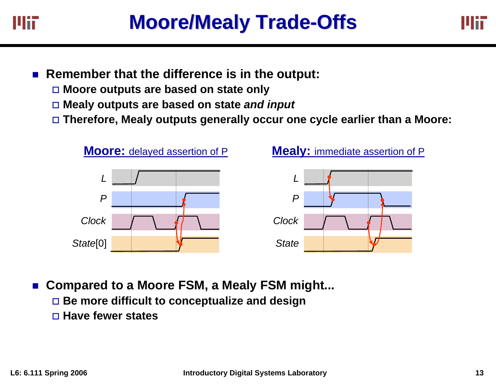

- Remember that the difference is in the output:
	- **Moore outputs are based on state only**
	- **Mealy outputs are based on state** *and input*
	- **Therefore, Mealy outputs generally occur one cycle earlier than a Moore:**



- Compared to a Moore FSM, a Mealy FSM might...
	- **Be more difficult to conceptualize and design**
	- **Have fewer states**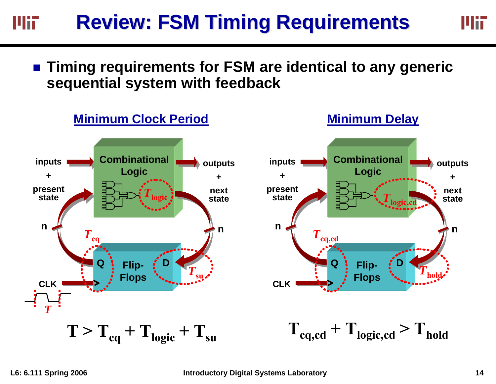#### **Review: FSM Timing Requirements Review: FSM Timing Requirements** MiT

Mit

### ■ Timing requirements for FSM are identical to any generic **sequential system with feedback**

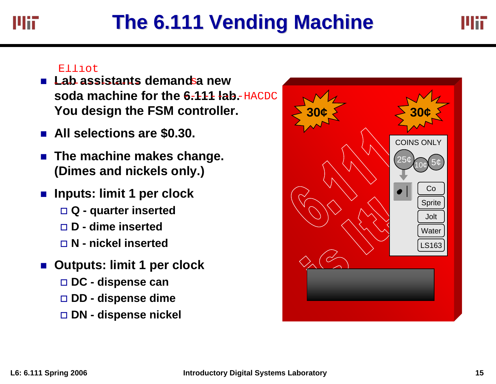# **The 6.111 Vending Machine The 6.111 Vending Machine**

Uit

- **Lab assistants demandsa new soda machine for the 6-111 lab-HACDC You design the FSM controller.** Elliot<br>Lab assistants demandsa new<br>soda machine for the 6-1-11-lab-HACDC<br>You design the FSM controller.<br>All selections are \$0.30.<br>The machine makes change.<br>(Dimes and nickels only.)<br>Inputs: limit 1 per clock<br>□ Q - quarter
- **All selections are \$0.30.**
- The machine makes change. **(Dimes and nickels only.)**
- $\mathcal{L}_{\mathcal{A}}$  **Inputs: limit 1 per clock**
	- **Q - quarter inserted**
	- **D - dime inserted**
	- **N - nickel inserted**
- **Outputs: limit 1 per clock**
	- **DC - dispense can**
	- **DD - dispense dime**
	- DN dispense nickel

| $\frac{1}{30}$ | $\frac{1}{2}$ 30¢ $\frac{1}{2}$          |
|----------------|------------------------------------------|
|                | <b>COINS ONLY</b><br>25¢<br>Co<br>Sprite |
|                | Jolt<br>Water<br>LS163                   |
|                |                                          |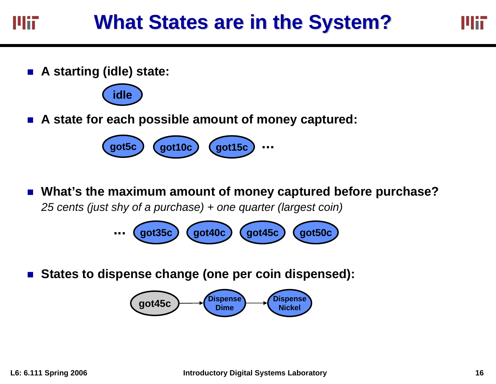**A starting (idle) state:**



**A state for each possible amount of money captured:**



 **What's the maximum amount of money captured before purchase?**  *25 cents (just shy of a purchase) + one quarter (largest coin)*

> **...got35c got40c got45c got50c**

L. **States to dispense change (one per coin dispensed):**

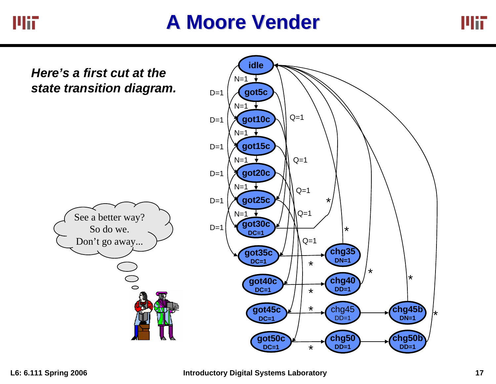

# **A Moore Vender A Moore Vender**



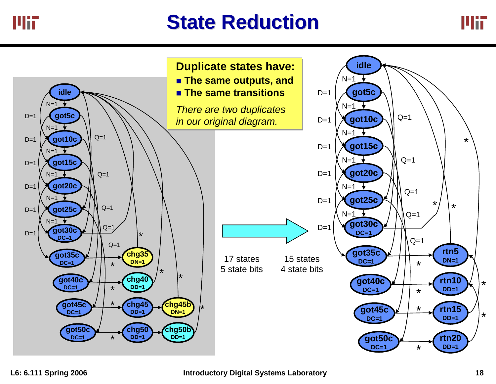# **State Reduction State Reduction**



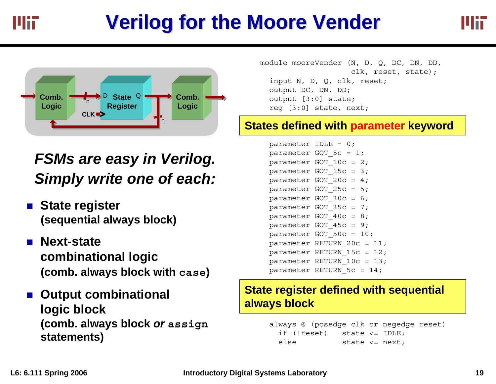# **Verilog Verilog for the Moore Vender for the Moore Vender**





## **FSMs are easy in Verilog.** *Simply write one of each:*

- State register **(sequential always block)**
- Next-state **combinational logic (comb. always block with case)**
- Output combinational **logic block (comb. always block** *or* **assign statements)**

module mooreVender (N, D, Q, DC, DN, DD, clk, reset, state); input N, D, Q, clk, reset; output DC, DN, DD; output [3:0] state; reg [3:0] state, next;

### **States defined with parameter keyword**

parameter IDLE =  $0$ ; parameter GOT  $5c = 1$ ; parameter GOT  $10c = 2$ ; parameter GOT 15c = 3; parameter GOT  $20c = 4$ ; parameter GOT  $25c = 5;$ parameter GOT  $30c = 6$ ; parameter GOT  $35c = 7;$ parameter GOT  $40c = 8$ ; parameter GOT\_45c = 9; parameter GOT\_50c = 10; parameter RETURN\_20c = 11; parameter RETURN  $15c = 12$ ; parameter RETURN\_10c = 13; parameter RETURN\_5c = 14;

### **State register defined with sequential always block**

```
always @ (posedge clk or negedge reset)
 if (!reset) state <= IDLE;
 else state <= next;
```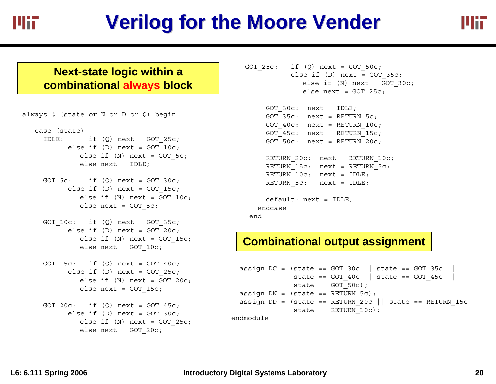

# **Verilog Verilog for the Moore Vender for the Moore Vender**



#### **Next-state logic within a combinational always block**

```
always @ (state or N or D or Q) begin
   case (state)
     IDLE: if (Q) next = GOT 25c;
          else if (D) next = GOT 10c;
             else if (N) next = GOT 5c;
             else next = IDLE;
    GOT 5c: if (Q) next = GOT 30c;else if (D) next = GOT 15c;
             else if (N) next = GOT 10c;
             else next = GOT 5c;
    GOT 10c: if (Q) next = GOT 35c;
          else if (D) next = GOT 20c;
             else if (N) next = GOT 15c;
             else next = GOT 10c;
    GOT 15c: if (Q) next = GOT 40c;
          else if (D) next = GOT 25c;
             else if (N) next = GOT 20c;
             else next = GOT_15c;
    GOT 20c: if (Q) next = GOT 45c;
          else if (D) next = GOT 30c;
             else if (N) next = GOT 25c;
             else next = GOT_20c;
```

```
GOT 25c: if (Q) next = GOT 50c;else if (D) next = GOT 35c;
             else if (N) next = GOT 30c;
             else next = GOT 25c;
```

```
GOT 30c: next = IDLE;
GOT 35c: next = RETURN 5c;
GOT 40c: next = RETURN 10c;
GOT 45c: next = RETURN 15c;
GOT 50c: next = RETURN 20c;
```

```
RETURN 20c: next = RETURN 10c;
RETURN 15c: next = RETURN 5c;
RETURN 10c: next = IDLE;
RETURN 5c: next = IDLE;
```

```
default: next = IDLE;
 endcaseend
```
### **Combinational output assignment**

```
assign DC = (state == GOT_30c || state == GOT_35c ||
            state == GOT 40c || state == GOT 45c ||state == GOT 50c);
assign DN = (state == RETURN 5c);
assign DD = (state == RETURN_20c || state == RETURN_15c ||
             state == RETURN 10c;
```
endmodule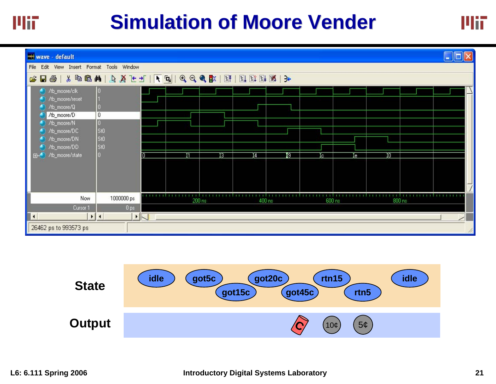

# **Simulation of Moore Vender**





Mii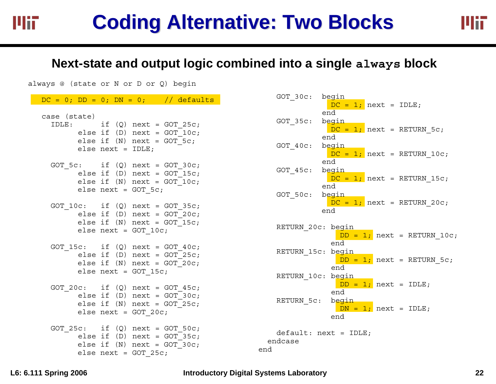# **Coding Alternative: Two Blocks Coding Alternative: Two Blocks**

Mii

### **Next-state and output logic combined into a single always block**

always @ (state or N or D or Q) begin

|              |                     | $DC = 0$ ; $DD = 0$ ; $DN = 0$ ; // defaults                                                                                          |
|--------------|---------------------|---------------------------------------------------------------------------------------------------------------------------------------|
| case (state) | else $next = IDLE;$ | $IDLE: \qquad \qquad if \quad (Q) \quad next = GOT \quad 25c \, ;$<br>else if $(D)$ next = $GOT_1OC;$<br>else if $(N)$ next = GOT 5c; |
|              |                     | GOT $5c:$ if $(Q)$ next = GOT $30c$ ;<br>else if (D) $next = GOT_15c;$<br>else if $(N)$ next = GOT 10c;<br>else next = $GOT$ 5c;      |
|              |                     | GOT $10c:$ if $(Q)$ next = GOT $35c$ ;<br>else if (D) next = $GOT_20c$ ;<br>else if (N) next = $GOT_15c$ ;<br>else next = $GOT 10c;$  |
|              |                     | $GOT_15c:$ if $(Q)$ next = $GOT_40c;$<br>else if $(D)$ next = $GOT_25c$ ;<br>else if $(N)$ next = GOT 20c;<br>else next = $GOT 15c;$  |
|              |                     | GOT 20c: if $(Q)$ next = GOT 45c;<br>else if (D) $next = GOT_30c;$<br>else if $(N)$ next = GOT 25c;<br>else next = $GOT 20c;$         |
|              |                     | GOT $25c:$ if $(Q)$ next = GOT $50c$ ;<br>else if $(D)$ next = GOT_35c;<br>else if $(N)$ next = GOT 30c;<br>else next = $GOT_25c$ ;   |

| GOT 30c:          | <u>begin</u>                  |  |  |  |  |  |
|-------------------|-------------------------------|--|--|--|--|--|
|                   | $DC = 1$ ; next = IDLE;       |  |  |  |  |  |
|                   | end                           |  |  |  |  |  |
| GOT 35c: begin    |                               |  |  |  |  |  |
|                   | $DC = 1$ ; next = RETURN 5c;  |  |  |  |  |  |
|                   | end                           |  |  |  |  |  |
| GOT 40c: begin    |                               |  |  |  |  |  |
|                   | $DC = 1$ ; next = RETURN 10c; |  |  |  |  |  |
|                   | end                           |  |  |  |  |  |
| GOT_45c: begin    |                               |  |  |  |  |  |
|                   | $DC = 1$ ; next = RETURN 15c; |  |  |  |  |  |
|                   | end                           |  |  |  |  |  |
| GOT 50c: begin    |                               |  |  |  |  |  |
|                   | $DC = 1$ ; next = RETURN 20c; |  |  |  |  |  |
|                   | end                           |  |  |  |  |  |
|                   |                               |  |  |  |  |  |
| RETURN 20c: begin |                               |  |  |  |  |  |
|                   | $DD = 1$ ; next = RETURN 10c; |  |  |  |  |  |
|                   | end                           |  |  |  |  |  |
| RETURN 15c: begin |                               |  |  |  |  |  |
|                   | $DD = 1$ ; next = RETURN 5c;  |  |  |  |  |  |
|                   | end                           |  |  |  |  |  |
| RETURN 10c: begin |                               |  |  |  |  |  |
|                   | $DD = 1;$ next = IDLE;        |  |  |  |  |  |
|                   | end                           |  |  |  |  |  |
| RETURN 5c: begin  |                               |  |  |  |  |  |
|                   |                               |  |  |  |  |  |
|                   | $DN = 1;$ next = IDLE;        |  |  |  |  |  |
|                   | end                           |  |  |  |  |  |
|                   |                               |  |  |  |  |  |
|                   | $default: next = IDLE;$       |  |  |  |  |  |
| endcase           |                               |  |  |  |  |  |

Mii

#### **L6: 6.111 Spring 2006 Introductory Digital Systems Laboratory 22**

end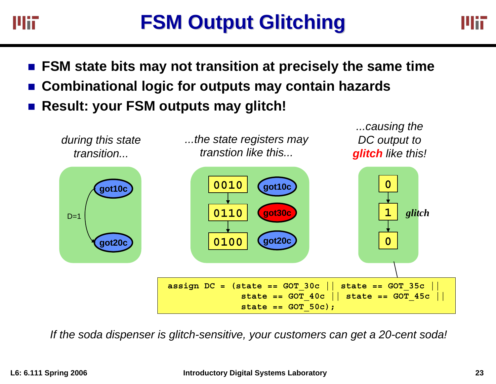

- **FSM state bits may not transition at precisely the same time**
- r. **Combinational logic for outputs may contain hazards**
- r. **Result: your FSM outputs may glitch!**



*If the soda dispenser is glitch-sensitive, your customers can get a 20-cent soda!*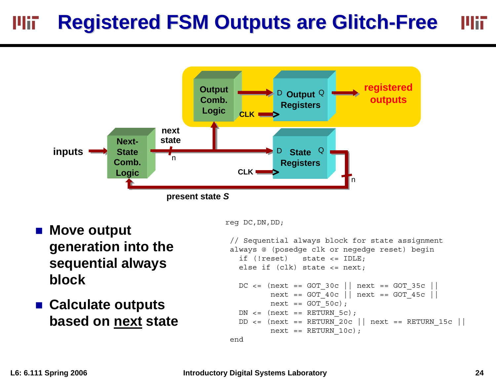#### **Registered FSM Outputs are Glitch Registered FSM Outputs are Glitch-Free** MĦ Mii l



- Move output **generation into the sequential always block**
- **Calculate outputs based on next state**

reg DC,DN,DD;

```
// Sequential always block for state assignment
always @ (posedge clk or negedge reset) begin
  if (!reset) state <= IDLE;
  else if (clk) state \le next;
 DC \leq (next == GOT 30c || next == GOT 35c ||next == GOT_40c || next == GOT_45c || 
         next == GOT 50c);
 DN \leq (next == RETURN 5c);
 DD \leq (next == RETURN 20c || next == RETURN 15c ||
         next == RETURN 10c);
```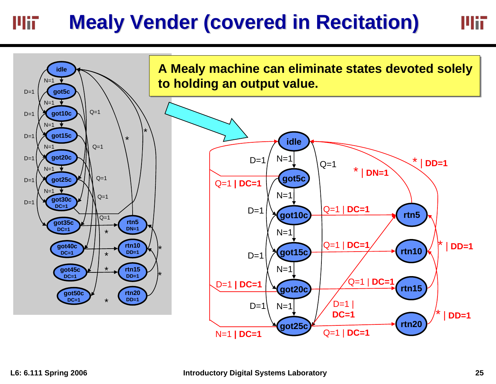#### **Mealy Vender (covered in Recitation) Mealy Vender (covered in Recitation)** Mii



Mii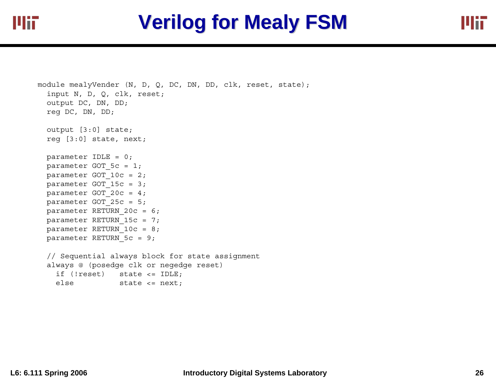

```
module mealyVender (N, D, Q, DC, DN, DD, clk, reset, state);
 input N, D, Q, clk, reset;
 output DC, DN, DD;
 reg DC, DN, DD;
 output [3:0] state;
 reg [3:0] state, next;
  parameter IDLE = 0;
 parameter GOT 5c = 1;
 parameter GOT 10c = 2;parameter GOT_15c = 3;
 parameter GOT 20c = 4;parameter GOT 25c = 5;parameter RETURN_20c = 6;
 parameter RETURN 15c = 7;
 parameter RETURN_10c = 8;
 parameter RETURN_5c = 9;
 // Sequential always block for state assignment
 always @ (posedge clk or negedge reset)
    if (!reset) state <= IDLE;
    else state <= next;
```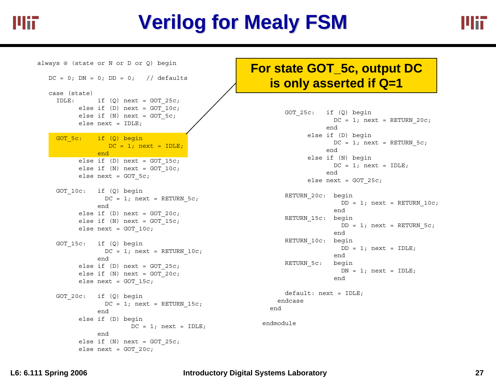

# **Verilog for Mealy FSM**

always @ (state or N or D or Q) begin  $DC = 0$ ;  $DN = 0$ ;  $DD = 0$ ; // defaults case (state) IDLE: if  $(Q)$  next = GOT 25c; else if  $(D)$  next = GOT 10c; else if  $(N)$  next = GOT 5c; else next = IDLE; GOT 5c: if (0) begin  $DC = 1; next = IDLE;$ endelse if  $(D)$  next = GOT 15c; else if  $(N)$  next = GOT 10c; else next = GOT\_5c; GOT 10c: if (Q) begin  $DC = 1$ ; next = RETURN 5c; endelse if  $(D)$  next = GOT 20c; else if  $(N)$  next = GOT 15c; else next =  $GOT$  10c; GOT 15c: if (Q) begin  $DC = 1$ ; next = RETURN 10c; endelse if  $(D)$  next = GOT 25c; else if  $(N)$  next = GOT 20c; else next =  $GOT$  15c; GOT\_20c: if (Q) begin  $DC = 1$ ; next = RETURN 15c; endelse if (D) begin  $DC = 1$ ; next = IDLE; endelse if  $(N)$  next = GOT 25c; else next =  $GOT$  20c;

### **For state GOT\_5c, output DC is only asserted if Q=1**

```
GOT 25c: if (Q) begin
                  DC = 1; next = RETURN 20c;
                endelse if (D) begin
                  DC = 1; next = RETURN 5c;
                endelse if (N) begin
                  DC = 1; next = IDLE;
                endelse next = GOT_25c;
     RETURN_20c: begin
                    DD = 1; next = RETURN 10c;
                  endRETURN_15c: begin
                    DD = 1; next = RETURN 5c;
                  endRETURN_10c: begin
                    DD = 1; next = IDLE;
                  endRETURN_5c: begin
                    DN = 1; next = IDLE;
                  enddefault: next = IDLE;
   endcaseendmodule
```
end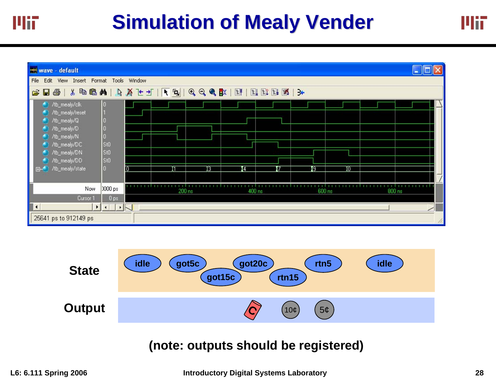| wave - default                                                                                                                                                                                                                                                                                                                                                                                                            |                                              |        |    |        |   |        |    |        | $\  \cdot \ $ |
|---------------------------------------------------------------------------------------------------------------------------------------------------------------------------------------------------------------------------------------------------------------------------------------------------------------------------------------------------------------------------------------------------------------------------|----------------------------------------------|--------|----|--------|---|--------|----|--------|---------------|
| File Edit<br>View Insert Format Tools Window                                                                                                                                                                                                                                                                                                                                                                              |                                              |        |    |        |   |        |    |        |               |
| $\mathcal{L} \left[ \begin{array}{c c c c c} \mathbf{E} & \mathbf{E} & \mathbf{E} & \mathbf{E} & \mathbf{E} & \mathbf{E} & \mathbf{E} & \mathbf{E} & \mathbf{E} & \mathbf{E} & \mathbf{E} & \mathbf{E} & \mathbf{E} & \mathbf{E} & \mathbf{E} & \mathbf{E} & \mathbf{E} & \mathbf{E} & \mathbf{E} & \mathbf{E} & \mathbf{E} & \mathbf{E} & \mathbf{E} & \mathbf{E} & \mathbf{E} & \mathbf{E} & \mathbf{E} & \mathbf{E} &$ |                                              |        |    |        |   |        |    |        |               |
| /tb_mealy/clk<br>0<br>/tb_mealy/reset<br>/tb_mealy/Q<br>(1) /tb_mealy/D<br>$\vert 0 \vert$<br>//b_mealy/N<br>0<br>St0<br>//b_mealy/DC                                                                                                                                                                                                                                                                                     |                                              |        |    |        |   |        |    |        |               |
| sto<br>//b_mealy/DN<br>St0<br>/tb_mealy/DD<br>$\overline{0}$<br>/tb_mealy/state<br>田小                                                                                                                                                                                                                                                                                                                                     | m                                            |        | រច | 14     | 7 | 19     | ΪŌ |        |               |
| Now<br>Cursor 1                                                                                                                                                                                                                                                                                                                                                                                                           | <b>TIIIIII</b><br>0000 ps<br>0 <sub>ps</sub> | 200 ns |    | 400 ns | . | 600 ns |    | 800 ns |               |
| $\blacksquare$<br>$\blacktriangleright$<br>$\sqrt{4}$<br>25641 ps to 912149 ps                                                                                                                                                                                                                                                                                                                                            | $\cdot$ $\sim$                               |        |    |        |   |        |    |        | ╱             |



### **(note: outputs should be registered)**

Mii